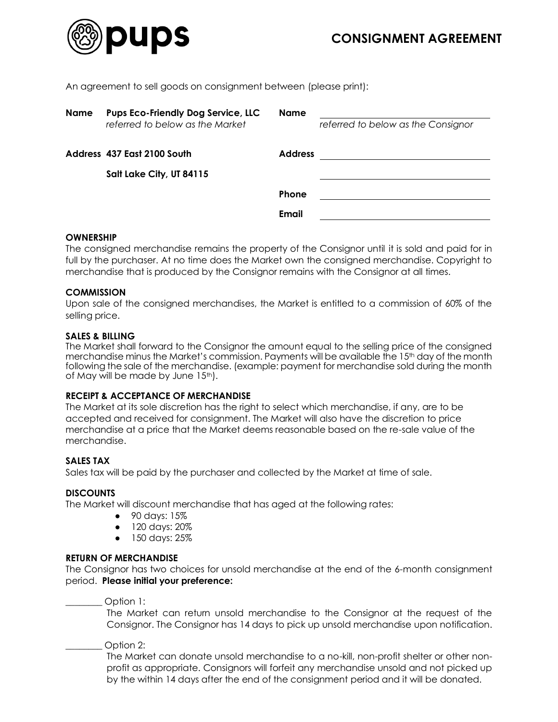

An agreement to sell goods on consignment between (please print):

| <b>Pups Eco-Friendly Dog Service, LLC</b><br>referred to below as the Market | <b>Name</b>           | referred to below as the Consignor |
|------------------------------------------------------------------------------|-----------------------|------------------------------------|
| Address 437 East 2100 South<br>Salt Lake City, UT 84115                      | <b>Address</b>        |                                    |
|                                                                              | <b>Phone</b><br>Email |                                    |
|                                                                              |                       |                                    |

# **OWNERSHIP**

The consigned merchandise remains the property of the Consignor until it is sold and paid for in full by the purchaser. At no time does the Market own the consigned merchandise. Copyright to merchandise that is produced by the Consignor remains with the Consignor at all times.

## **COMMISSION**

Upon sale of the consigned merchandises, the Market is entitled to a commission of 60% of the selling price.

# **SALES & BILLING**

The Market shall forward to the Consignor the amount equal to the selling price of the consigned merchandise minus the Market's commission. Payments will be available the 15th day of the month following the sale of the merchandise. (example: payment for merchandise sold during the month of May will be made by June 15<sup>th</sup>).

## **RECEIPT & ACCEPTANCE OF MERCHANDISE**

The Market at its sole discretion has the right to select which merchandise, if any, are to be accepted and received for consignment. The Market will also have the discretion to price merchandise at a price that the Market deems reasonable based on the re-sale value of the merchandise.

## **SALES TAX**

Sales tax will be paid by the purchaser and collected by the Market at time of sale.

## **DISCOUNTS**

The Market will discount merchandise that has aged at the following rates:

- 90 days: 15%
- 120 days: 20%
- 150 days: 25%

## **RETURN OF MERCHANDISE**

The Consignor has two choices for unsold merchandise at the end of the 6-month consignment period. **Please initial your preference:**

Option 1:

The Market can return unsold merchandise to the Consignor at the request of the Consignor. The Consignor has 14 days to pick up unsold merchandise upon notification.

## Option 2:

The Market can donate unsold merchandise to a no-kill, non-profit shelter or other nonprofit as appropriate. Consignors will forfeit any merchandise unsold and not picked up by the within 14 days after the end of the consignment period and it will be donated.